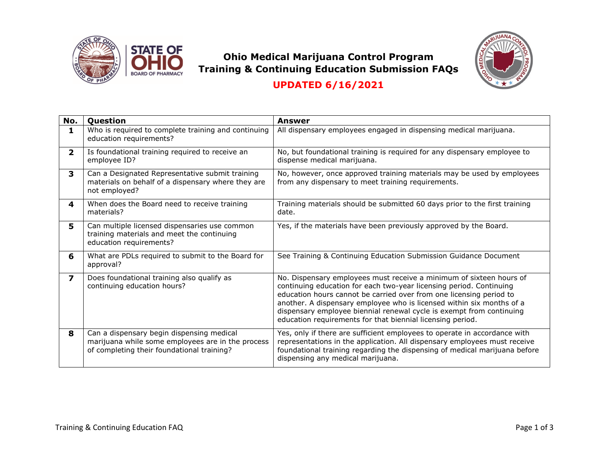

## **Ohio Medical Marijuana Control Program Training & Continuing Education Submission FAQs**



#### **UPDATED 6/16/2021**

| No.                     | Question                                                                                                                                     | <b>Answer</b>                                                                                                                                                                                                                                                                                                                                                                                                                    |
|-------------------------|----------------------------------------------------------------------------------------------------------------------------------------------|----------------------------------------------------------------------------------------------------------------------------------------------------------------------------------------------------------------------------------------------------------------------------------------------------------------------------------------------------------------------------------------------------------------------------------|
| 1                       | Who is required to complete training and continuing<br>education requirements?                                                               | All dispensary employees engaged in dispensing medical marijuana.                                                                                                                                                                                                                                                                                                                                                                |
| $\overline{2}$          | Is foundational training required to receive an<br>employee ID?                                                                              | No, but foundational training is required for any dispensary employee to<br>dispense medical marijuana.                                                                                                                                                                                                                                                                                                                          |
| 3                       | Can a Designated Representative submit training<br>materials on behalf of a dispensary where they are<br>not employed?                       | No, however, once approved training materials may be used by employees<br>from any dispensary to meet training requirements.                                                                                                                                                                                                                                                                                                     |
| 4                       | When does the Board need to receive training<br>materials?                                                                                   | Training materials should be submitted 60 days prior to the first training<br>date.                                                                                                                                                                                                                                                                                                                                              |
| 5                       | Can multiple licensed dispensaries use common<br>training materials and meet the continuing<br>education requirements?                       | Yes, if the materials have been previously approved by the Board.                                                                                                                                                                                                                                                                                                                                                                |
| 6                       | What are PDLs required to submit to the Board for<br>approval?                                                                               | See Training & Continuing Education Submission Guidance Document                                                                                                                                                                                                                                                                                                                                                                 |
| $\overline{\mathbf{z}}$ | Does foundational training also qualify as<br>continuing education hours?                                                                    | No. Dispensary employees must receive a minimum of sixteen hours of<br>continuing education for each two-year licensing period. Continuing<br>education hours cannot be carried over from one licensing period to<br>another. A dispensary employee who is licensed within six months of a<br>dispensary employee biennial renewal cycle is exempt from continuing<br>education requirements for that biennial licensing period. |
| 8                       | Can a dispensary begin dispensing medical<br>marijuana while some employees are in the process<br>of completing their foundational training? | Yes, only if there are sufficient employees to operate in accordance with<br>representations in the application. All dispensary employees must receive<br>foundational training regarding the dispensing of medical marijuana before<br>dispensing any medical marijuana.                                                                                                                                                        |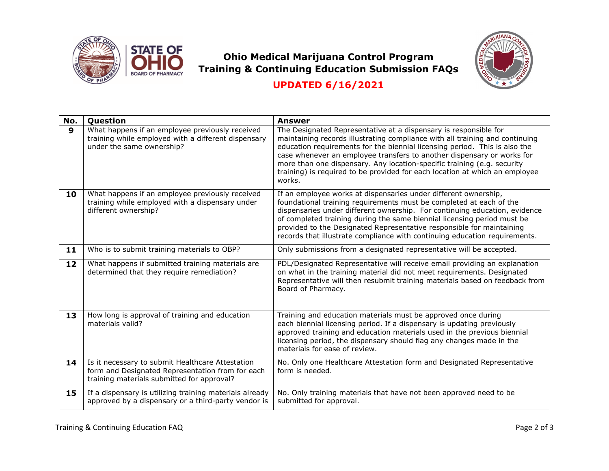

# **Ohio Medical Marijuana Control Program Training & Continuing Education Submission FAQs**



#### **UPDATED 6/16/2021**

| No. | Question                                                                                                                                           | <b>Answer</b>                                                                                                                                                                                                                                                                                                                                                                                                                                                                |
|-----|----------------------------------------------------------------------------------------------------------------------------------------------------|------------------------------------------------------------------------------------------------------------------------------------------------------------------------------------------------------------------------------------------------------------------------------------------------------------------------------------------------------------------------------------------------------------------------------------------------------------------------------|
| 9   | What happens if an employee previously received<br>training while employed with a different dispensary<br>under the same ownership?                | The Designated Representative at a dispensary is responsible for<br>maintaining records illustrating compliance with all training and continuing<br>education requirements for the biennial licensing period. This is also the<br>case whenever an employee transfers to another dispensary or works for<br>more than one dispensary. Any location-specific training (e.g. security<br>training) is required to be provided for each location at which an employee<br>works. |
| 10  | What happens if an employee previously received<br>training while employed with a dispensary under<br>different ownership?                         | If an employee works at dispensaries under different ownership,<br>foundational training requirements must be completed at each of the<br>dispensaries under different ownership. For continuing education, evidence<br>of completed training during the same biennial licensing period must be<br>provided to the Designated Representative responsible for maintaining<br>records that illustrate compliance with continuing education requirements.                       |
| 11  | Who is to submit training materials to OBP?                                                                                                        | Only submissions from a designated representative will be accepted.                                                                                                                                                                                                                                                                                                                                                                                                          |
| 12  | What happens if submitted training materials are<br>determined that they require remediation?                                                      | PDL/Designated Representative will receive email providing an explanation<br>on what in the training material did not meet requirements. Designated<br>Representative will then resubmit training materials based on feedback from<br>Board of Pharmacy.                                                                                                                                                                                                                     |
| 13  | How long is approval of training and education<br>materials valid?                                                                                 | Training and education materials must be approved once during<br>each biennial licensing period. If a dispensary is updating previously<br>approved training and education materials used in the previous biennial<br>licensing period, the dispensary should flag any changes made in the<br>materials for ease of review.                                                                                                                                                  |
| 14  | Is it necessary to submit Healthcare Attestation<br>form and Designated Representation from for each<br>training materials submitted for approval? | No. Only one Healthcare Attestation form and Designated Representative<br>form is needed.                                                                                                                                                                                                                                                                                                                                                                                    |
| 15  | If a dispensary is utilizing training materials already<br>approved by a dispensary or a third-party vendor is                                     | No. Only training materials that have not been approved need to be<br>submitted for approval.                                                                                                                                                                                                                                                                                                                                                                                |